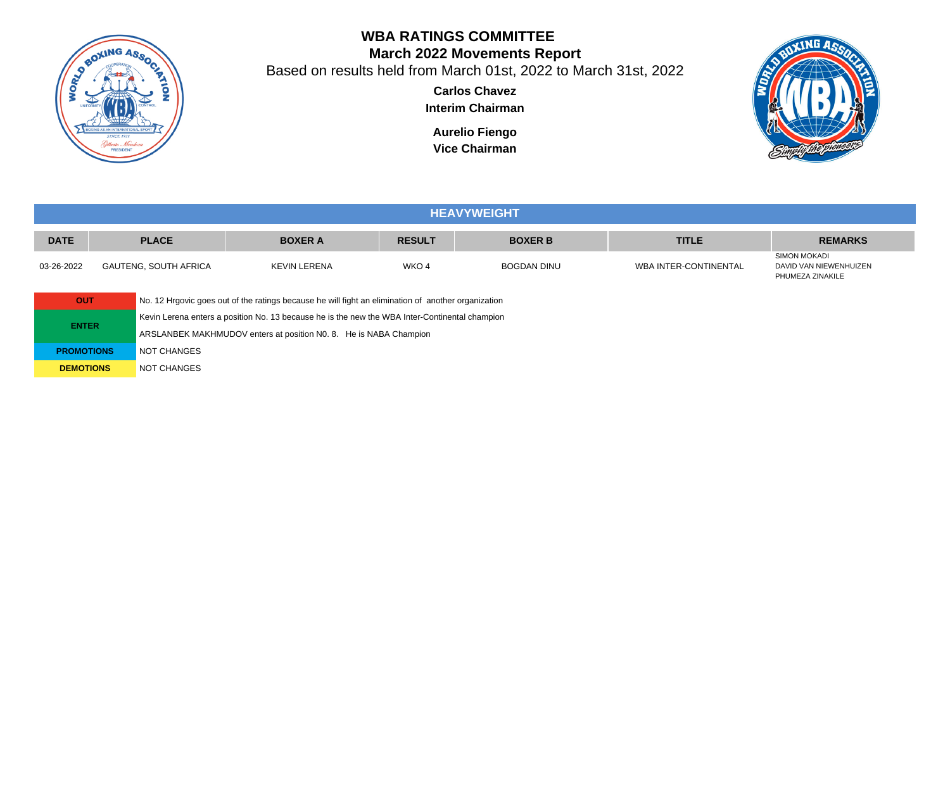

# **WBA RATINGS COMMITTEE March 2022 Movements Report**

Based on results held from March 01st, 2022 to March 31st, 2022

**Carlos Chavez Interim Chairman**

**Aurelio Fiengo Vice Chairman**



|             | <b>HEAVYWEIGHT</b>    |                |               |                    |                       |                                                            |  |  |  |  |
|-------------|-----------------------|----------------|---------------|--------------------|-----------------------|------------------------------------------------------------|--|--|--|--|
| <b>DATE</b> | <b>PLACE</b>          | <b>BOXER A</b> | <b>RESULT</b> | <b>BOXER B</b>     | <b>TITLE</b>          | <b>REMARKS</b>                                             |  |  |  |  |
| 03-26-2022  | GAUTENG, SOUTH AFRICA | KEVIN LERENA   | WKO 4         | <b>BOGDAN DINU</b> | WBA INTER-CONTINENTAL | SIMON MOKADI<br>DAVID VAN NIEWENHUIZEN<br>PHUMEZA ZINAKILE |  |  |  |  |

**OUT** No. 12 Hrgovic goes out of the ratings because he will fight an elimination of another organization Kevin Lerena enters a position No. 13 because he is the new the WBA Inter-Continental champion ARSLANBEK MAKHMUDOV enters at position N0. 8. He is NABA Champion **PROMOTIONS** NOT CHANGES

**DEMOTIONS** NOT CHANGES

**ENTER**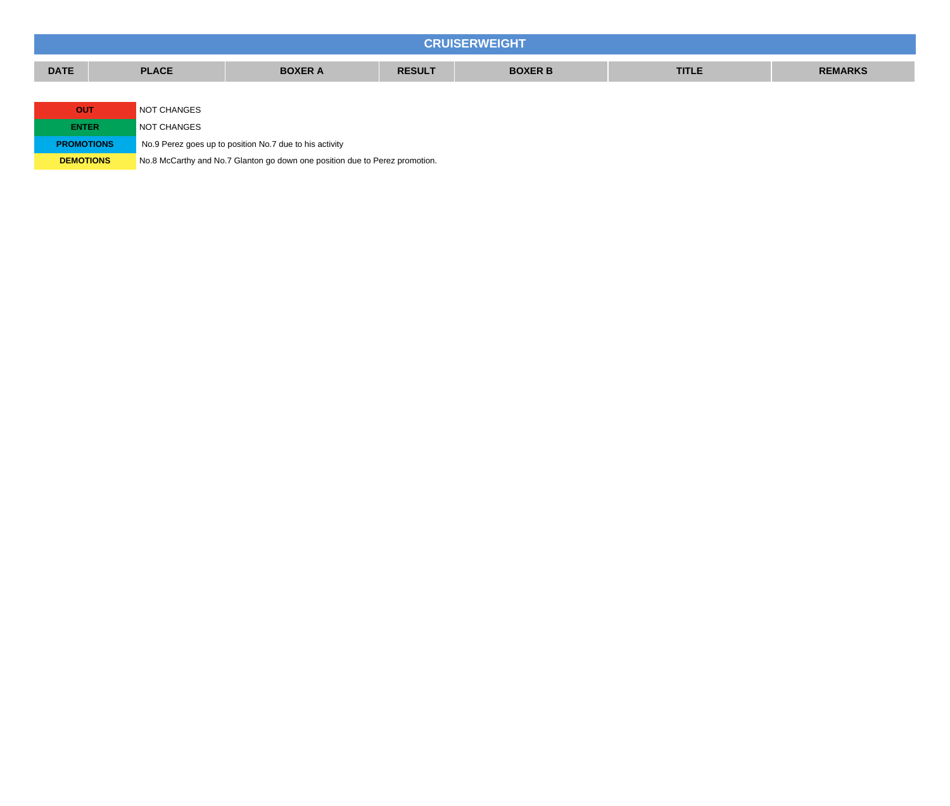|                   | <b>CRUISERWEIGHT</b>      |              |                                                         |               |                |              |                |  |  |  |  |
|-------------------|---------------------------|--------------|---------------------------------------------------------|---------------|----------------|--------------|----------------|--|--|--|--|
| <b>DATE</b>       |                           | <b>PLACE</b> | <b>BOXER A</b>                                          | <b>RESULT</b> | <b>BOXER B</b> | <b>TITLE</b> | <b>REMARKS</b> |  |  |  |  |
|                   |                           |              |                                                         |               |                |              |                |  |  |  |  |
|                   | <b>OUT</b><br>NOT CHANGES |              |                                                         |               |                |              |                |  |  |  |  |
| <b>ENTER</b>      |                           | NOT CHANGES  |                                                         |               |                |              |                |  |  |  |  |
| <b>PROMOTIONS</b> |                           |              | No.9 Perez goes up to position No.7 due to his activity |               |                |              |                |  |  |  |  |

**DEMOTIONS** No.8 McCarthy and No.7 Glanton go down one position due to Perez promotion.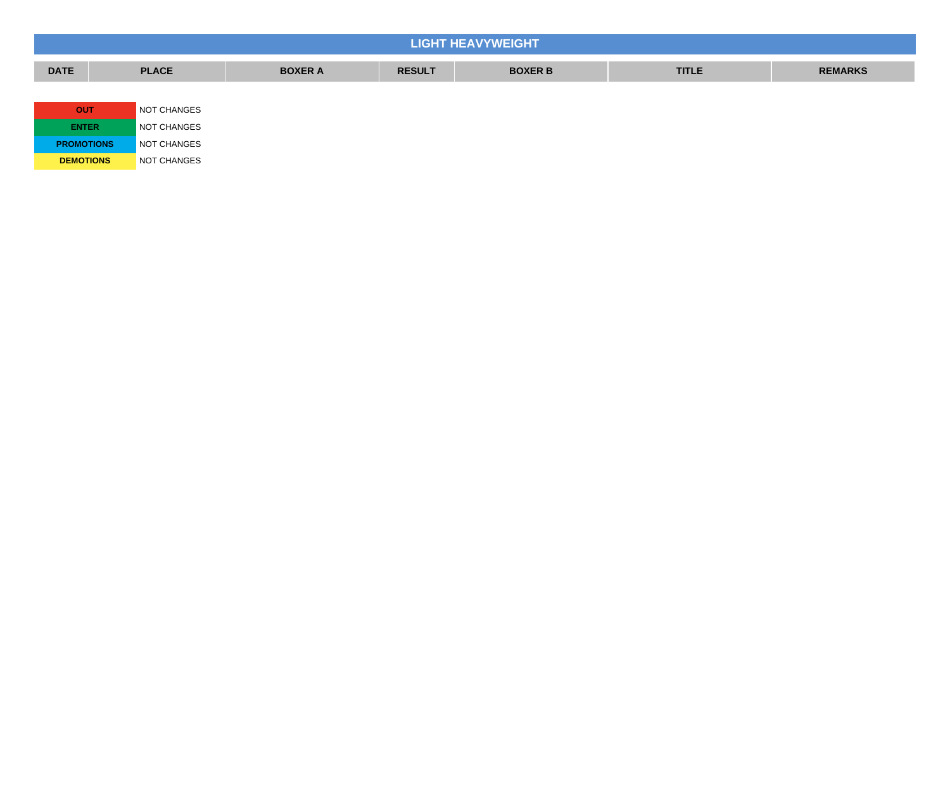| <b>LIGHT HEAVYWEIGHT</b> |              |                |               |                |              |                |  |  |  |  |
|--------------------------|--------------|----------------|---------------|----------------|--------------|----------------|--|--|--|--|
| <b>DATE</b>              | <b>PLACE</b> | <b>BOXER A</b> | <b>RESULT</b> | <b>BOXER B</b> | <b>TITLE</b> | <b>REMARKS</b> |  |  |  |  |
|                          |              |                |               |                |              |                |  |  |  |  |
| <b>OUT</b>               | NOT CHANGES  |                |               |                |              |                |  |  |  |  |
| <b>ENTER</b>             | NOT CHANGES  |                |               |                |              |                |  |  |  |  |
| <b>PROMOTIONS</b>        | NOT CHANGES  |                |               |                |              |                |  |  |  |  |
| <b>DEMOTIONS</b>         | NOT CHANGES  |                |               |                |              |                |  |  |  |  |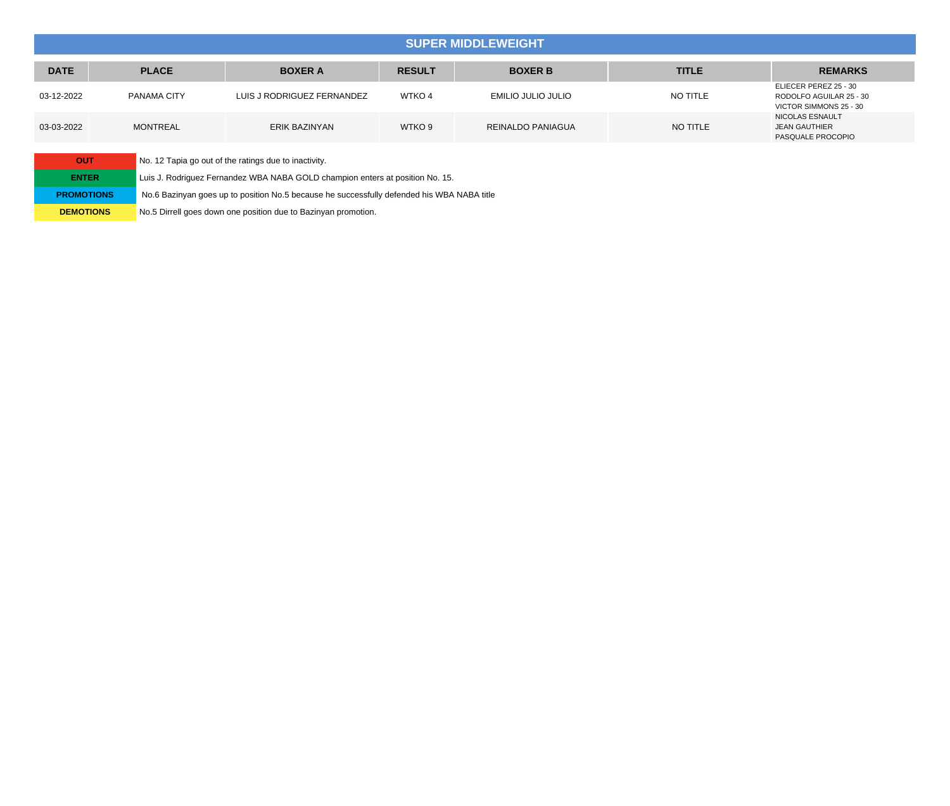### **SUPER MIDDLEWEIGHT**

| <b>DATE</b> | <b>PLACE</b>    | <b>BOXER A</b>             | <b>RESULT</b>     | <b>BOXER B</b>     | <b>TITLE</b> | <b>REMARKS</b>                                                             |
|-------------|-----------------|----------------------------|-------------------|--------------------|--------------|----------------------------------------------------------------------------|
| 03-12-2022  | PANAMA CITY     | LUIS J RODRIGUEZ FERNANDEZ | WTKO <sub>4</sub> | EMILIO JULIO JULIO | NO TITLE     | ELIECER PEREZ 25 - 30<br>RODOLFO AGUILAR 25 - 30<br>VICTOR SIMMONS 25 - 30 |
| 03-03-2022  | <b>MONTREAL</b> | ERIK BAZINYAN              | WTKO <sub>9</sub> | REINALDO PANIAGUA  | NO TITLE     | NICOLAS ESNAULT<br><b>JEAN GAUTHIER</b><br>PASQUALE PROCOPIO               |

| OUT               | No. 12 Tapia go out of the ratings due to inactivity.                                      |
|-------------------|--------------------------------------------------------------------------------------------|
| <b>ENTER</b>      | Luis J. Rodriguez Fernandez WBA NABA GOLD champion enters at position No. 15.              |
| <b>PROMOTIONS</b> | No.6 Bazinyan goes up to position No.5 because he successfully defended his WBA NABA title |
| <b>DEMOTIONS</b>  | No.5 Dirrell goes down one position due to Bazinyan promotion.                             |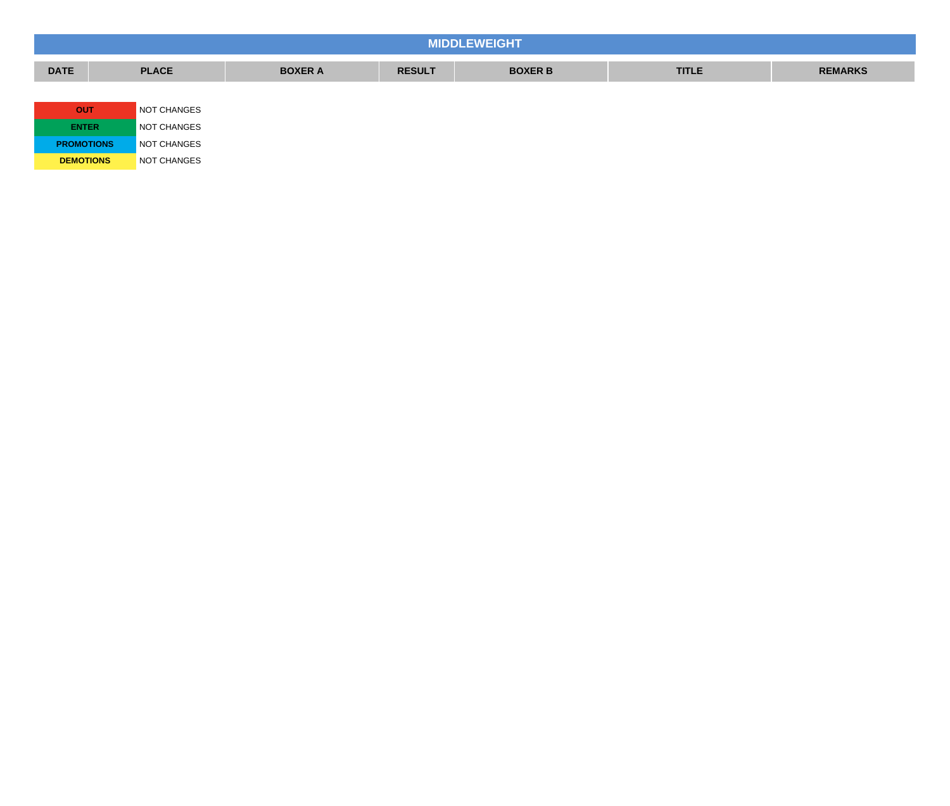| <b>MIDDLEWEIGHT</b> |              |                |               |                |              |                |  |  |  |  |
|---------------------|--------------|----------------|---------------|----------------|--------------|----------------|--|--|--|--|
| <b>DATE</b>         | <b>PLACE</b> | <b>BOXER A</b> | <b>RESULT</b> | <b>BOXER B</b> | <b>TITLE</b> | <b>REMARKS</b> |  |  |  |  |
|                     |              |                |               |                |              |                |  |  |  |  |
| <b>OUT</b>          | NOT CHANGES  |                |               |                |              |                |  |  |  |  |
| <b>ENTER</b>        | NOT CHANGES  |                |               |                |              |                |  |  |  |  |
| <b>PROMOTIONS</b>   | NOT CHANGES  |                |               |                |              |                |  |  |  |  |
| <b>DEMOTIONS</b>    | NOT CHANGES  |                |               |                |              |                |  |  |  |  |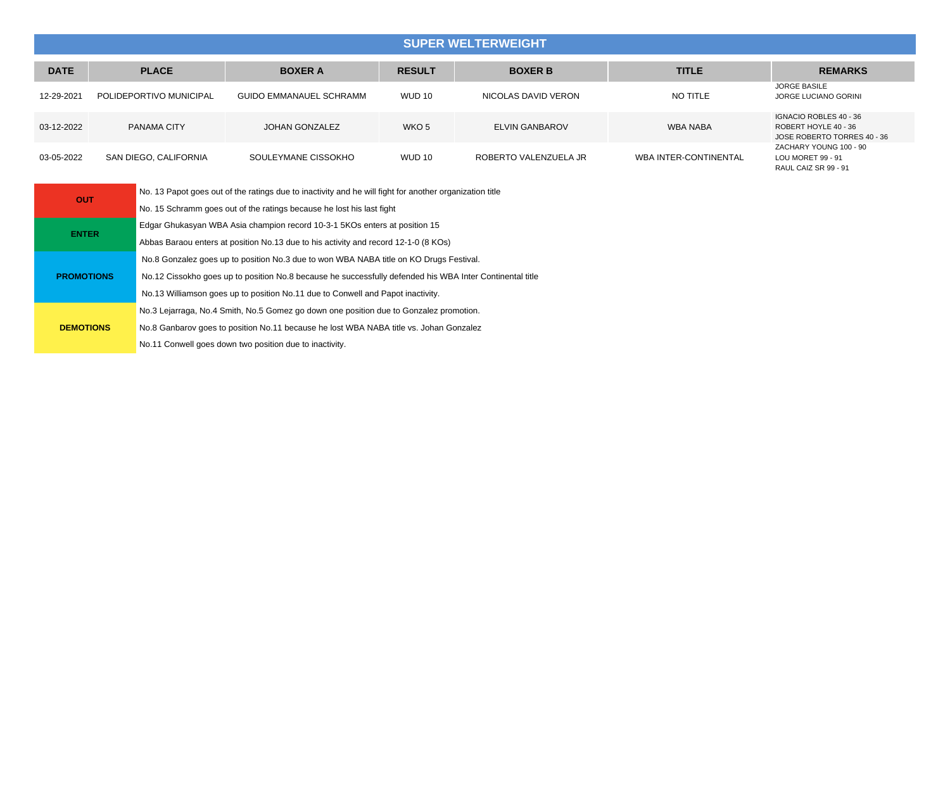## **SUPER WELTERWEIGHT**

| <b>DATE</b> | <b>PLACE</b>            | <b>BOXER A</b>                 | <b>RESULT</b> | <b>BOXER B</b>        | <b>TITLE</b>                 | <b>REMARKS</b>                                                                |
|-------------|-------------------------|--------------------------------|---------------|-----------------------|------------------------------|-------------------------------------------------------------------------------|
| 12-29-2021  | POLIDEPORTIVO MUNICIPAL | <b>GUIDO EMMANAUEL SCHRAMM</b> | <b>WUD 10</b> | NICOLAS DAVID VERON   | NO TITLE                     | JORGE BASILE<br>JORGE LUCIANO GORINI                                          |
| 03-12-2022  | PANAMA CITY             | <b>JOHAN GONZALEZ</b>          | WKO 5         | <b>ELVIN GANBAROV</b> | WBA NABA                     | IGNACIO ROBLES 40 - 36<br>ROBERT HOYLE 40 - 36<br>JOSE ROBERTO TORRES 40 - 36 |
| 03-05-2022  | SAN DIEGO, CALIFORNIA   | SOULEYMANE CISSOKHO            | <b>WUD 10</b> | ROBERTO VALENZUELA JR | <b>WBA INTER-CONTINENTAL</b> | ZACHARY YOUNG 100 - 90<br>LOU MORET 99 - 91<br>RAUL CAIZ SR 99 - 91           |

| <b>OUT</b>        | No. 13 Papot goes out of the ratings due to inactivity and he will fight for another organization title  |
|-------------------|----------------------------------------------------------------------------------------------------------|
|                   | No. 15 Schramm goes out of the ratings because he lost his last fight                                    |
|                   | Edgar Ghukasyan WBA Asia champion record 10-3-1 5KOs enters at position 15                               |
| <b>ENTER</b>      | Abbas Baraou enters at position No.13 due to his activity and record 12-1-0 (8 KOs)                      |
|                   | No.8 Gonzalez goes up to position No.3 due to won WBA NABA title on KO Drugs Festival.                   |
| <b>PROMOTIONS</b> | No.12 Cissokho goes up to position No.8 because he successfully defended his WBA Inter Continental title |
|                   | No.13 Williamson goes up to position No.11 due to Conwell and Papot inactivity.                          |
|                   | No.3 Lejarraga, No.4 Smith, No.5 Gomez go down one position due to Gonzalez promotion.                   |
| <b>DEMOTIONS</b>  | No.8 Ganbarov goes to position No.11 because he lost WBA NABA title vs. Johan Gonzalez                   |
|                   | No.11 Conwell goes down two position due to inactivity.                                                  |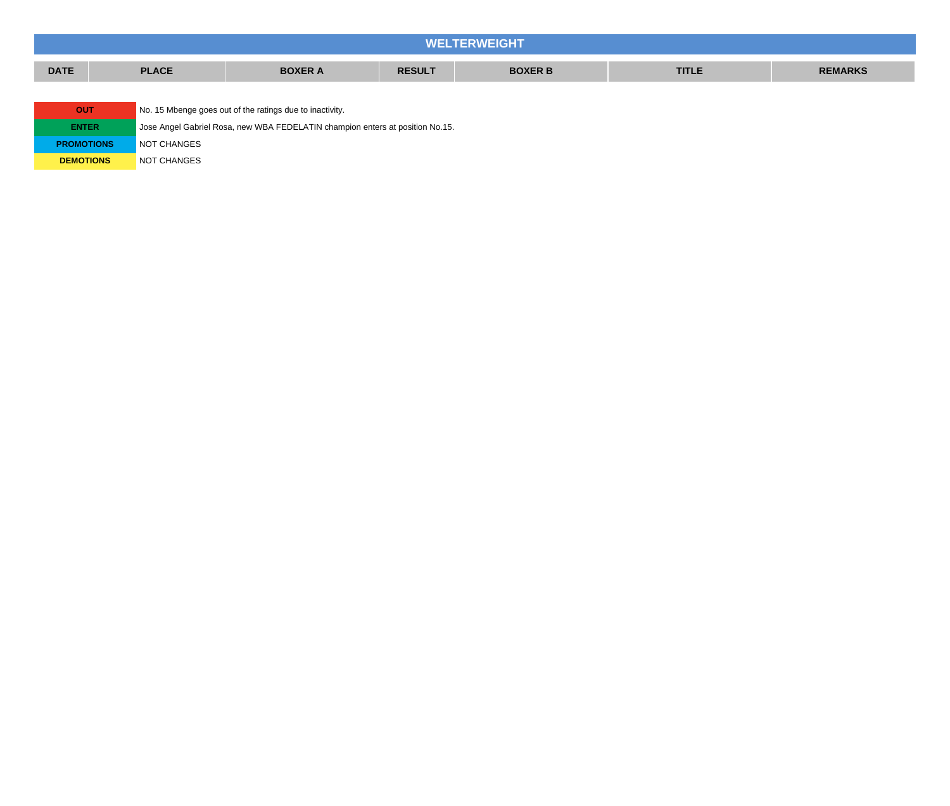| <b>WELTERWEIGHT</b> |  |              |                                                                               |               |                |              |                |  |  |  |
|---------------------|--|--------------|-------------------------------------------------------------------------------|---------------|----------------|--------------|----------------|--|--|--|
| <b>DATE</b>         |  | <b>PLACE</b> | <b>BOXER A</b>                                                                | <b>RESULT</b> | <b>BOXER B</b> | <b>TITLE</b> | <b>REMARKS</b> |  |  |  |
|                     |  |              |                                                                               |               |                |              |                |  |  |  |
| <b>OUT</b>          |  |              | No. 15 Mbenge goes out of the ratings due to inactivity.                      |               |                |              |                |  |  |  |
| <b>ENTER</b>        |  |              | Jose Angel Gabriel Rosa, new WBA FEDELATIN champion enters at position No.15. |               |                |              |                |  |  |  |
| <b>PROMOTIONS</b>   |  | NOT CHANGES  |                                                                               |               |                |              |                |  |  |  |

**DEMOTIONS** NOT CHANGES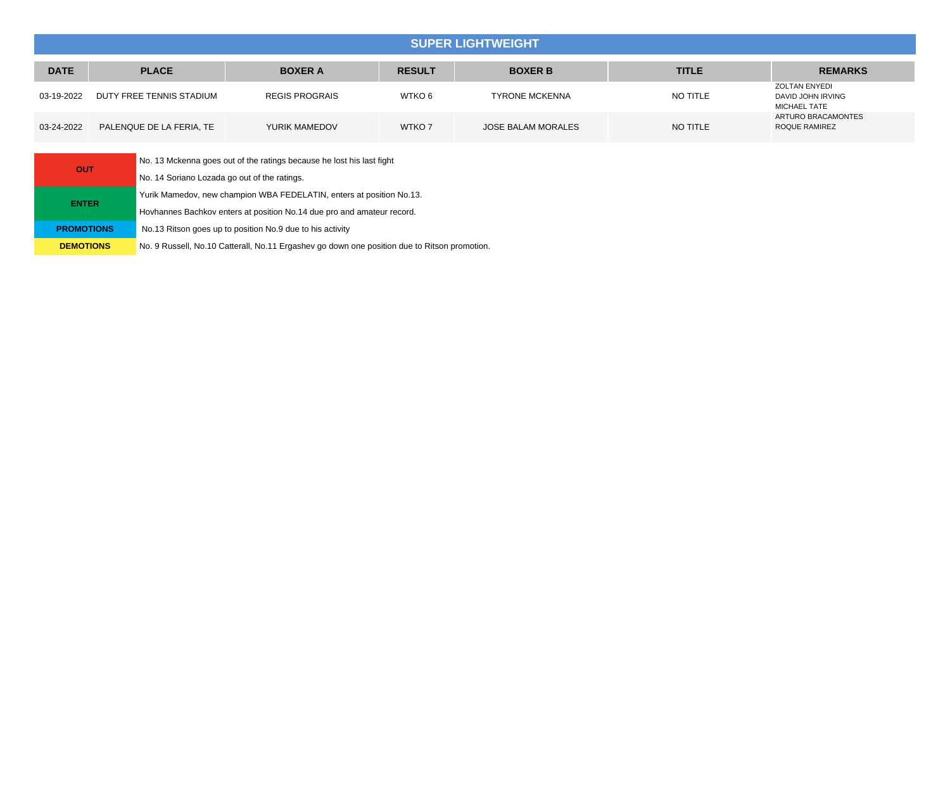### **SUPER LIGHTWEIGHT**

| <b>DATE</b> | <b>PLACE</b><br><b>BOXER A</b> |                       | <b>RESULT</b>     | <b>BOXER B</b>        | <b>TITLE</b> | <b>REMARKS</b>                                                   |
|-------------|--------------------------------|-----------------------|-------------------|-----------------------|--------------|------------------------------------------------------------------|
| 03-19-2022  | DUTY FREE TENNIS STADIUM       | <b>REGIS PROGRAIS</b> | WTKO 6            | <b>TYRONE MCKENNA</b> | NO TITLE     | <b>ZOLTAN ENYEDI</b><br>DAVID JOHN IRVING<br><b>MICHAEL TATE</b> |
| 03-24-2022  | PALENQUE DE LA FERIA, TE       | YURIK MAMEDOV         | WTKO <sub>7</sub> | JOSE BALAM MORALES    | NO TITLE     | ARTURO BRACAMONTES<br>ROQUE RAMIREZ                              |

| <b>OUT</b>        | No. 13 Mckenna goes out of the ratings because he lost his last fight                        |
|-------------------|----------------------------------------------------------------------------------------------|
|                   | No. 14 Soriano Lozada go out of the ratings.                                                 |
| <b>ENTER</b>      | Yurik Mamedov, new champion WBA FEDELATIN, enters at position No.13.                         |
|                   | Hovhannes Bachkov enters at position No.14 due pro and amateur record.                       |
| <b>PROMOTIONS</b> | No.13 Ritson goes up to position No.9 due to his activity                                    |
| <b>DEMOTIONS</b>  | No. 9 Russell, No.10 Catterall, No.11 Ergashev go down one position due to Ritson promotion. |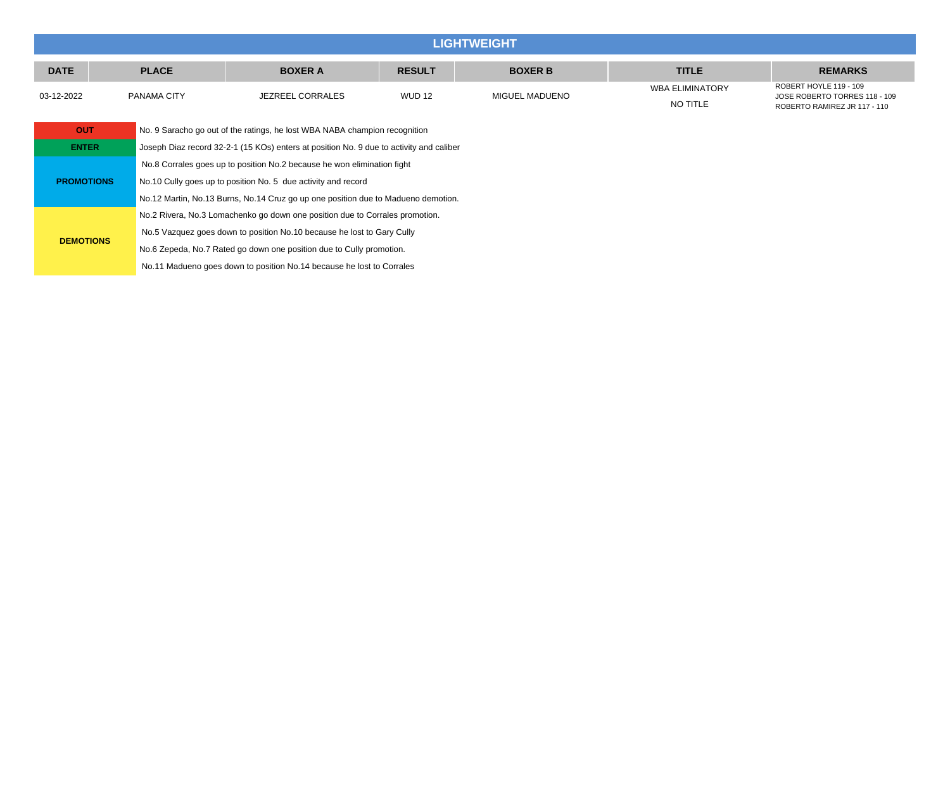| <b>LIGHTWEIGHT</b> |              |                                                                                         |               |                |                                    |                                                                                         |  |  |  |  |  |
|--------------------|--------------|-----------------------------------------------------------------------------------------|---------------|----------------|------------------------------------|-----------------------------------------------------------------------------------------|--|--|--|--|--|
| <b>DATE</b>        | <b>PLACE</b> | <b>BOXER A</b>                                                                          | <b>RESULT</b> | <b>BOXER B</b> | <b>TITLE</b>                       | <b>REMARKS</b>                                                                          |  |  |  |  |  |
| 03-12-2022         | PANAMA CITY  | <b>JEZREEL CORRALES</b>                                                                 | <b>WUD 12</b> | MIGUEL MADUENO | <b>WBA ELIMINATORY</b><br>NO TITLE | ROBERT HOYLE 119 - 109<br>JOSE ROBERTO TORRES 118 - 109<br>ROBERTO RAMIREZ JR 117 - 110 |  |  |  |  |  |
| <b>OUT</b>         |              | No. 9 Saracho go out of the ratings, he lost WBA NABA champion recognition              |               |                |                                    |                                                                                         |  |  |  |  |  |
| <b>ENTER</b>       |              | Joseph Diaz record 32-2-1 (15 KOs) enters at position No. 9 due to activity and caliber |               |                |                                    |                                                                                         |  |  |  |  |  |
|                    |              | No.8 Corrales goes up to position No.2 because he won elimination fight                 |               |                |                                    |                                                                                         |  |  |  |  |  |
| <b>PROMOTIONS</b>  |              | No.10 Cully goes up to position No. 5 due activity and record                           |               |                |                                    |                                                                                         |  |  |  |  |  |
|                    |              | No.12 Martin, No.13 Burns, No.14 Cruz go up one position due to Madueno demotion.       |               |                |                                    |                                                                                         |  |  |  |  |  |
|                    |              | No.2 Rivera, No.3 Lomachenko go down one position due to Corrales promotion.            |               |                |                                    |                                                                                         |  |  |  |  |  |
|                    |              | No.5 Vazquez goes down to position No.10 because he lost to Gary Cully                  |               |                |                                    |                                                                                         |  |  |  |  |  |

**DEMOTIONS**

No.6 Zepeda, No.7 Rated go down one position due to Cully promotion. No.11 Madueno goes down to position No.14 because he lost to Corrales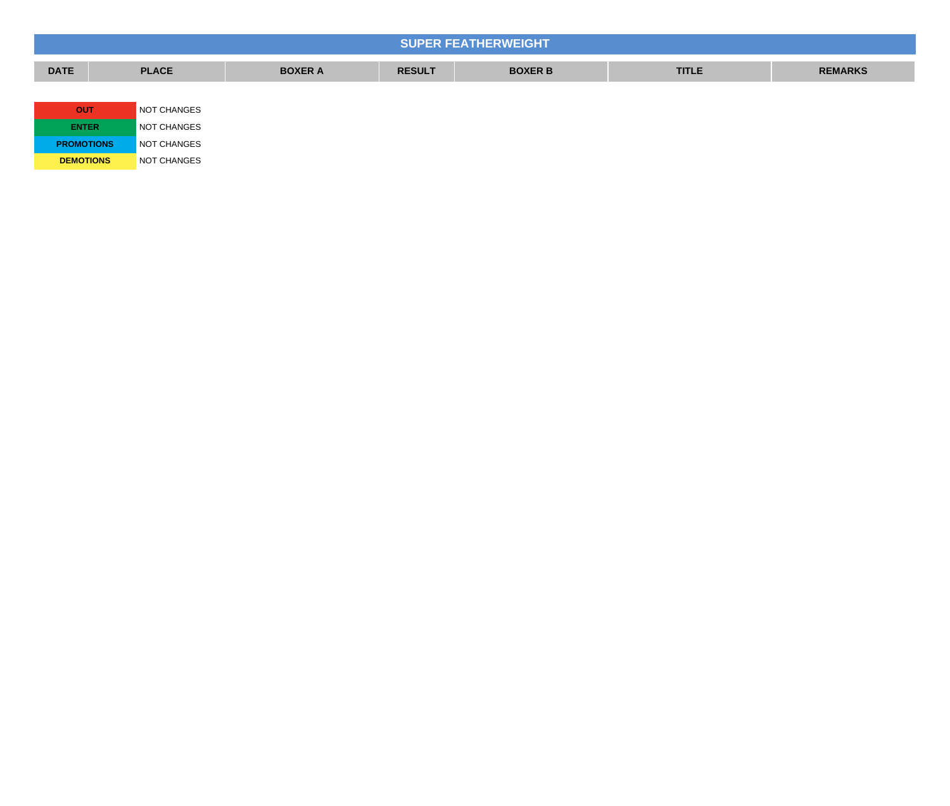|                   |              |                |               | <b>SUPER FEATHERWEIGHT</b> |              |                |
|-------------------|--------------|----------------|---------------|----------------------------|--------------|----------------|
| <b>DATE</b>       | <b>PLACE</b> | <b>BOXER A</b> | <b>RESULT</b> | <b>BOXER B</b>             | <b>TITLE</b> | <b>REMARKS</b> |
|                   |              |                |               |                            |              |                |
| <b>OUT</b>        | NOT CHANGES  |                |               |                            |              |                |
| <b>ENTER</b>      | NOT CHANGES  |                |               |                            |              |                |
| <b>PROMOTIONS</b> | NOT CHANGES  |                |               |                            |              |                |
| <b>DEMOTIONS</b>  | NOT CHANGES  |                |               |                            |              |                |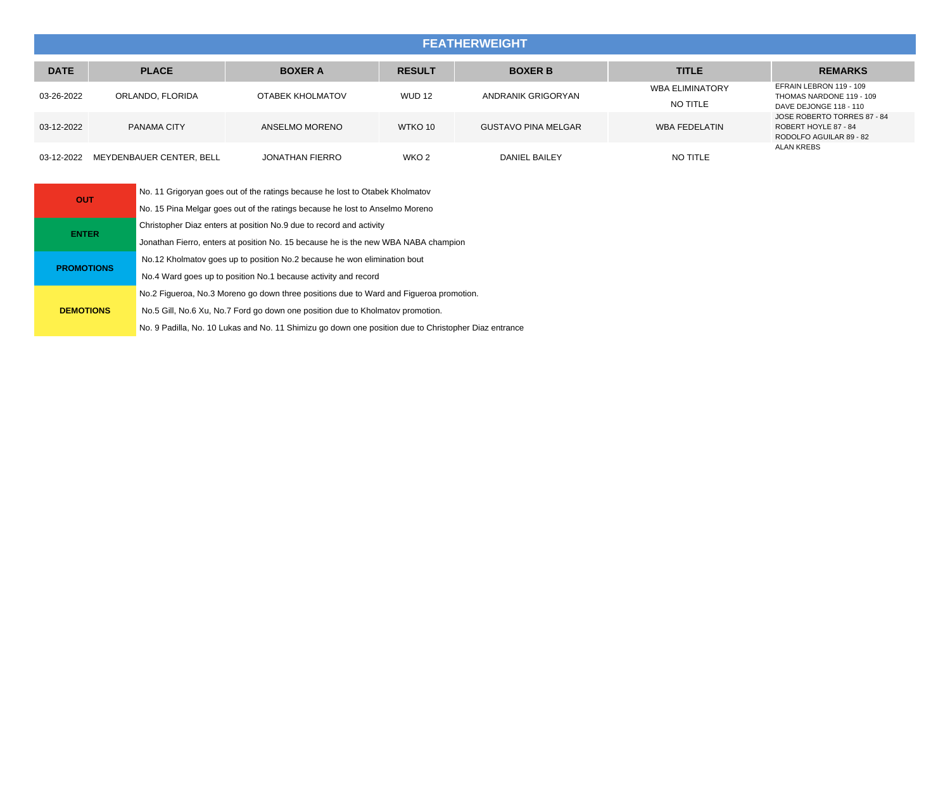### **FEATHERWEIGHT**

| <b>DATE</b> | <b>PLACE</b>             | <b>BOXER A</b>         | <b>RESULT</b> | <b>BOXER B</b>             | <b>TITLE</b>                       | <b>REMARKS</b>                                                                 |
|-------------|--------------------------|------------------------|---------------|----------------------------|------------------------------------|--------------------------------------------------------------------------------|
| 03-26-2022  | ORLANDO. FLORIDA         | OTABEK KHOLMATOV       | <b>WUD 12</b> | ANDRANIK GRIGORYAN         | <b>WBA ELIMINATORY</b><br>NO TITLE | EFRAIN LEBRON 119 - 109<br>THOMAS NARDONE 119 - 109<br>DAVE DEJONGE 118 - 110  |
| 03-12-2022  | PANAMA CITY              | ANSELMO MORENO         | WTKO 10       | <b>GUSTAVO PINA MELGAR</b> | WBA FEDELATIN                      | JOSE ROBERTO TORRES 87 - 84<br>ROBERT HOYLE 87 - 84<br>RODOLFO AGUILAR 89 - 82 |
| 03-12-2022  | MEYDENBAUER CENTER. BELL | <b>JONATHAN FIERRO</b> | WKO 2         | DANIEL BAILEY              | NO TITLE                           | <b>ALAN KREBS</b>                                                              |

| <b>OUT</b>        | No. 11 Grigoryan goes out of the ratings because he lost to Otabek Kholmatov                         |
|-------------------|------------------------------------------------------------------------------------------------------|
|                   | No. 15 Pina Melgar goes out of the ratings because he lost to Anselmo Moreno                         |
| <b>ENTER</b>      | Christopher Diaz enters at position No.9 due to record and activity                                  |
|                   | Jonathan Fierro, enters at position No. 15 because he is the new WBA NABA champion                   |
| <b>PROMOTIONS</b> | No.12 Kholmatov goes up to position No.2 because he won elimination bout                             |
|                   | No.4 Ward goes up to position No.1 because activity and record                                       |
|                   | No.2 Figueroa, No.3 Moreno go down three positions due to Ward and Figueroa promotion.               |
| <b>DEMOTIONS</b>  | No.5 Gill, No.6 Xu, No.7 Ford go down one position due to Kholmatov promotion.                       |
|                   | No. 9 Padilla, No. 10 Lukas and No. 11 Shimizu go down one position due to Christopher Diaz entrance |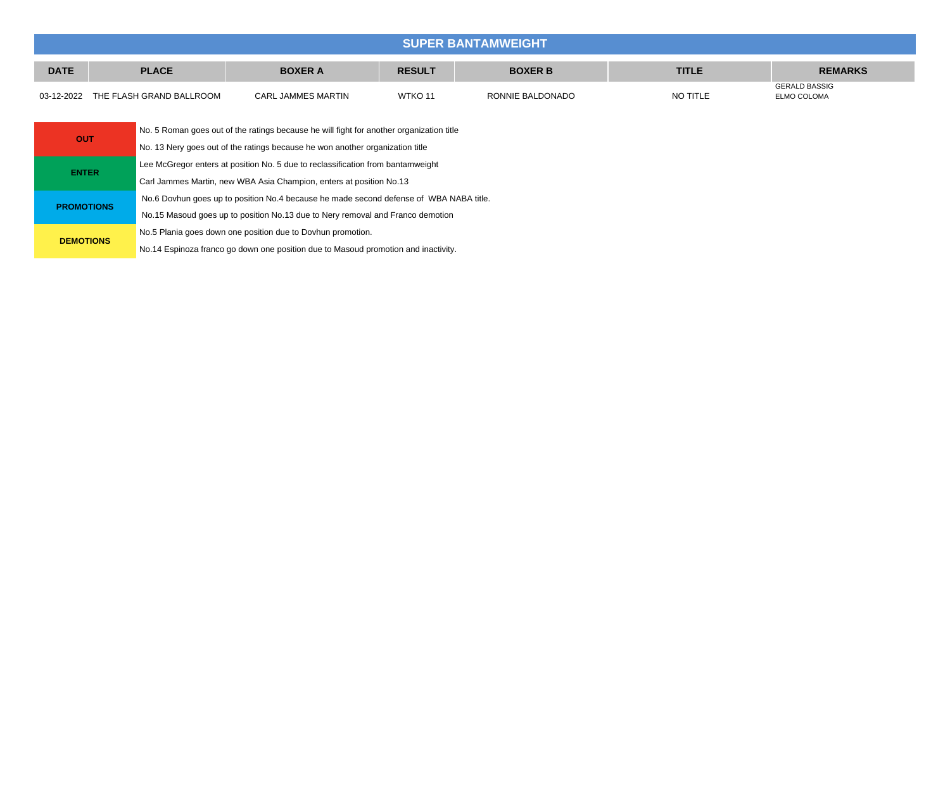### **SUPER BANTAMWEIGHT**

| <b>DATE</b> | <b>PLACE</b>             | <b>BOXER A</b>     | <b>RESULT</b>      | <b>BOXER B</b>   | TITLE.   | <b>REMARKS</b>                      |
|-------------|--------------------------|--------------------|--------------------|------------------|----------|-------------------------------------|
| 03-12-2022  | THE FLASH GRAND BALLROOM | CARL JAMMES MARTIN | WTKO <sub>11</sub> | RONNIE BALDONADO | NO TITLE | <b>GERALD BASSIG</b><br>ELMO COLOMA |

| <b>OUT</b>        | No. 5 Roman goes out of the ratings because he will fight for another organization title |  |  |  |
|-------------------|------------------------------------------------------------------------------------------|--|--|--|
|                   | No. 13 Nery goes out of the ratings because he won another organization title            |  |  |  |
| <b>ENTER</b>      | Lee McGregor enters at position No. 5 due to reclassification from bantamweight          |  |  |  |
|                   | Carl Jammes Martin, new WBA Asia Champion, enters at position No.13                      |  |  |  |
| <b>PROMOTIONS</b> | No.6 Dovhun goes up to position No.4 because he made second defense of WBA NABA title.   |  |  |  |
|                   | No.15 Masoud goes up to position No.13 due to Nery removal and Franco demotion           |  |  |  |
| <b>DEMOTIONS</b>  | No.5 Plania goes down one position due to Dovhun promotion.                              |  |  |  |
|                   | No.14 Espinoza franco go down one position due to Masoud promotion and inactivity.       |  |  |  |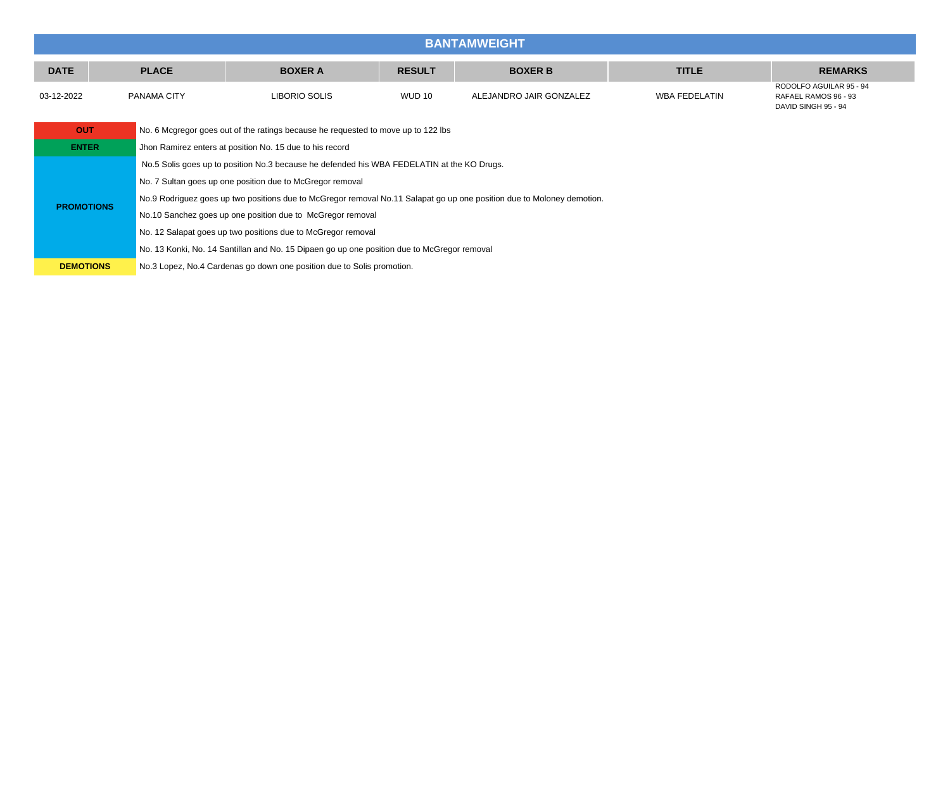|                   | <b>BANTAMWEIGHT</b>                                                                             |                                                                                            |                                                                                             |               |                                                                                                                        |                      |                                                                        |  |  |
|-------------------|-------------------------------------------------------------------------------------------------|--------------------------------------------------------------------------------------------|---------------------------------------------------------------------------------------------|---------------|------------------------------------------------------------------------------------------------------------------------|----------------------|------------------------------------------------------------------------|--|--|
| <b>DATE</b>       |                                                                                                 | <b>PLACE</b>                                                                               | <b>BOXER A</b>                                                                              | <b>RESULT</b> | <b>BOXER B</b>                                                                                                         | <b>TITLE</b>         | <b>REMARKS</b>                                                         |  |  |
| 03-12-2022        |                                                                                                 | PANAMA CITY                                                                                | LIBORIO SOLIS                                                                               | <b>WUD 10</b> | ALEJANDRO JAIR GONZALEZ                                                                                                | <b>WBA FEDELATIN</b> | RODOLFO AGUILAR 95 - 94<br>RAFAEL RAMOS 96 - 93<br>DAVID SINGH 95 - 94 |  |  |
|                   | <b>OUT</b><br>No. 6 Mcgregor goes out of the ratings because he requested to move up to 122 lbs |                                                                                            |                                                                                             |               |                                                                                                                        |                      |                                                                        |  |  |
| <b>ENTER</b>      |                                                                                                 | Jhon Ramirez enters at position No. 15 due to his record                                   |                                                                                             |               |                                                                                                                        |                      |                                                                        |  |  |
|                   |                                                                                                 | No.5 Solis goes up to position No.3 because he defended his WBA FEDELATIN at the KO Drugs. |                                                                                             |               |                                                                                                                        |                      |                                                                        |  |  |
|                   |                                                                                                 | No. 7 Sultan goes up one position due to McGregor removal                                  |                                                                                             |               |                                                                                                                        |                      |                                                                        |  |  |
|                   |                                                                                                 |                                                                                            |                                                                                             |               | No.9 Rodriguez goes up two positions due to McGregor removal No.11 Salapat go up one position due to Moloney demotion. |                      |                                                                        |  |  |
| <b>PROMOTIONS</b> |                                                                                                 | No.10 Sanchez goes up one position due to McGregor removal                                 |                                                                                             |               |                                                                                                                        |                      |                                                                        |  |  |
|                   |                                                                                                 | No. 12 Salapat goes up two positions due to McGregor removal                               |                                                                                             |               |                                                                                                                        |                      |                                                                        |  |  |
|                   |                                                                                                 |                                                                                            | No. 13 Konki, No. 14 Santillan and No. 15 Dipaen go up one position due to McGregor removal |               |                                                                                                                        |                      |                                                                        |  |  |
| <b>DEMOTIONS</b>  |                                                                                                 |                                                                                            | No.3 Lopez, No.4 Cardenas go down one position due to Solis promotion.                      |               |                                                                                                                        |                      |                                                                        |  |  |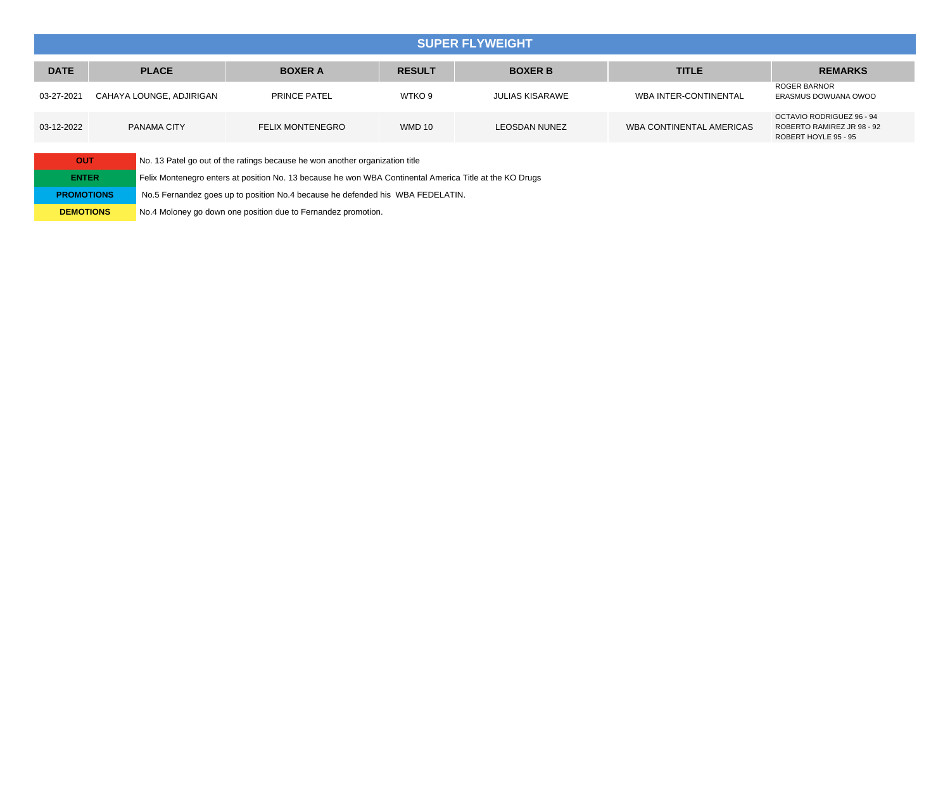#### **SUPER FLYWEIGHT**

| <b>DATE</b> | <b>PLACE</b>             | <b>BOXER A</b>          | <b>RESULT</b> | <b>BOXER B</b>         | <b>TITLE</b>                 | <b>REMARKS</b>                                                                  |
|-------------|--------------------------|-------------------------|---------------|------------------------|------------------------------|---------------------------------------------------------------------------------|
| 03-27-2021  | CAHAYA LOUNGE, ADJIRIGAN | <b>PRINCE PATEL</b>     | WTKO 9        | <b>JULIAS KISARAWE</b> | <b>WBA INTER-CONTINENTAL</b> | <b>ROGER BARNOR</b><br>ERASMUS DOWUANA OWOO                                     |
| 03-12-2022  | PANAMA CITY              | <b>FELIX MONTENEGRO</b> | <b>WMD 10</b> | <b>LEOSDAN NUNEZ</b>   | WBA CONTINENTAL AMERICAS     | OCTAVIO RODRIGUEZ 96 - 94<br>ROBERTO RAMIREZ JR 98 - 92<br>ROBERT HOYLE 95 - 95 |

| OUT               |
|-------------------|
| <b>ENTER</b>      |
| <b>PROMOTIONS</b> |
| <b>DEMOTIONS</b>  |

No. 13 Patel go out of the ratings because he won another organization title

Felix Montenegro enters at position No. 13 because he won WBA Continental America Title at the KO Drugs

No.5 Fernandez goes up to position No.4 because he defended his WBA FEDELATIN.

No.4 Moloney go down one position due to Fernandez promotion.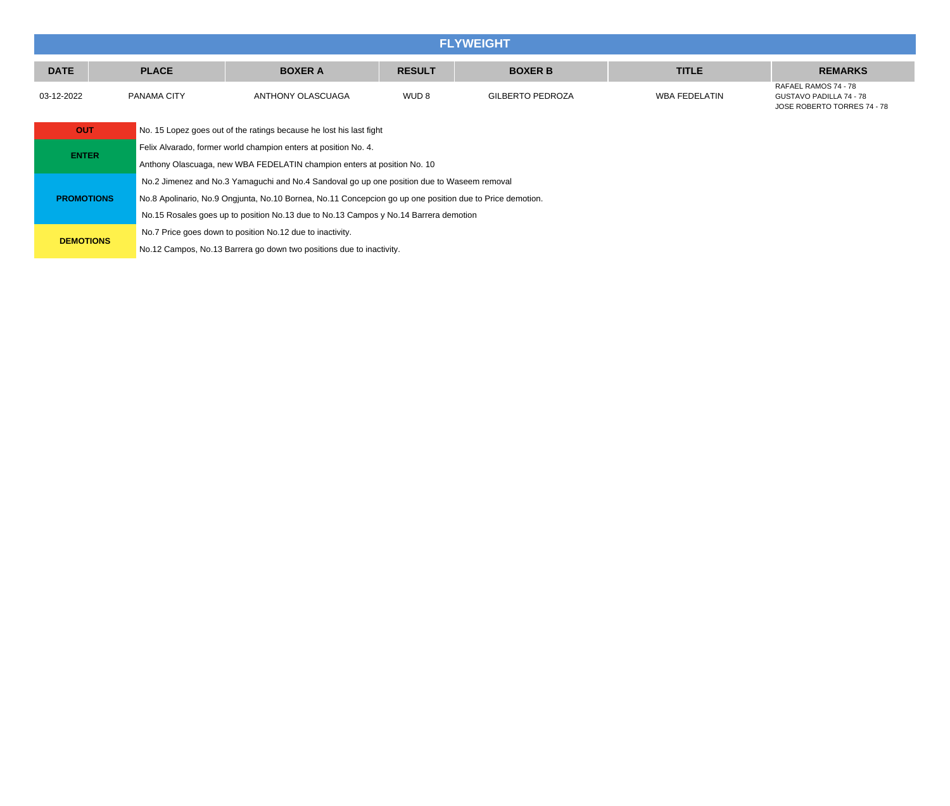|                   | <b>FLYWEIGHT</b> |                                                                                                          |                  |                         |                      |                                                                                |  |  |  |
|-------------------|------------------|----------------------------------------------------------------------------------------------------------|------------------|-------------------------|----------------------|--------------------------------------------------------------------------------|--|--|--|
| <b>DATE</b>       | <b>PLACE</b>     | <b>BOXER A</b>                                                                                           | <b>RESULT</b>    | <b>BOXER B</b>          | <b>TITLE</b>         | <b>REMARKS</b>                                                                 |  |  |  |
| 03-12-2022        | PANAMA CITY      | ANTHONY OLASCUAGA                                                                                        | WUD <sub>8</sub> | <b>GILBERTO PEDROZA</b> | <b>WBA FEDELATIN</b> | RAFAEL RAMOS 74 - 78<br>GUSTAVO PADILLA 74 - 78<br>JOSE ROBERTO TORRES 74 - 78 |  |  |  |
| <b>OUT</b>        |                  | No. 15 Lopez goes out of the ratings because he lost his last fight                                      |                  |                         |                      |                                                                                |  |  |  |
| <b>ENTER</b>      |                  | Felix Alvarado, former world champion enters at position No. 4.                                          |                  |                         |                      |                                                                                |  |  |  |
|                   |                  | Anthony Olascuaga, new WBA FEDELATIN champion enters at position No. 10                                  |                  |                         |                      |                                                                                |  |  |  |
|                   |                  | No.2 Jimenez and No.3 Yamaguchi and No.4 Sandoval go up one position due to Waseem removal               |                  |                         |                      |                                                                                |  |  |  |
| <b>PROMOTIONS</b> |                  | No.8 Apolinario, No.9 Ongjunta, No.10 Bornea, No.11 Concepcion go up one position due to Price demotion. |                  |                         |                      |                                                                                |  |  |  |
|                   |                  | No.15 Rosales goes up to position No.13 due to No.13 Campos y No.14 Barrera demotion                     |                  |                         |                      |                                                                                |  |  |  |
| <b>DEMOTIONS</b>  |                  | No.7 Price goes down to position No.12 due to inactivity.                                                |                  |                         |                      |                                                                                |  |  |  |
|                   |                  | No.12 Campos, No.13 Barrera go down two positions due to inactivity.                                     |                  |                         |                      |                                                                                |  |  |  |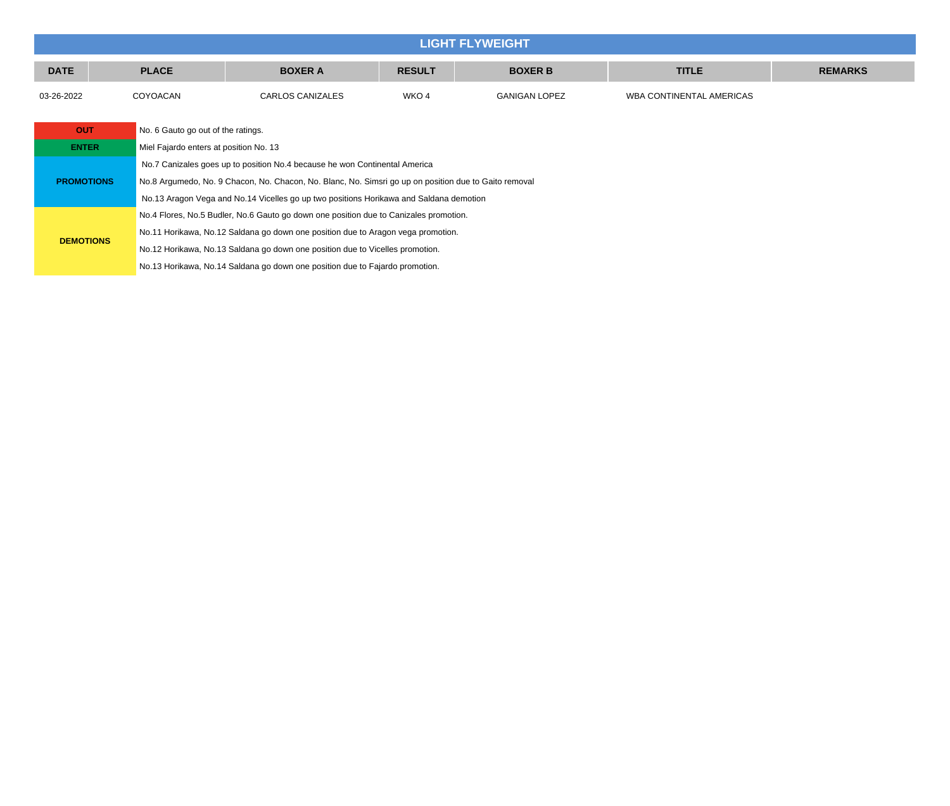|                                                        | <b>LIGHT FLYWEIGHT</b> |                                                                                                       |                                                                                  |               |                      |                          |                |  |  |  |
|--------------------------------------------------------|------------------------|-------------------------------------------------------------------------------------------------------|----------------------------------------------------------------------------------|---------------|----------------------|--------------------------|----------------|--|--|--|
| <b>DATE</b>                                            |                        | <b>PLACE</b>                                                                                          | <b>BOXER A</b>                                                                   | <b>RESULT</b> | <b>BOXER B</b>       | <b>TITLE</b>             | <b>REMARKS</b> |  |  |  |
| 03-26-2022                                             |                        | COYOACAN                                                                                              | CARLOS CANIZALES                                                                 | WKO 4         | <b>GANIGAN LOPEZ</b> | WBA CONTINENTAL AMERICAS |                |  |  |  |
|                                                        |                        |                                                                                                       |                                                                                  |               |                      |                          |                |  |  |  |
| <b>OUT</b>                                             |                        | No. 6 Gauto go out of the ratings.                                                                    |                                                                                  |               |                      |                          |                |  |  |  |
| <b>ENTER</b><br>Miel Fajardo enters at position No. 13 |                        |                                                                                                       |                                                                                  |               |                      |                          |                |  |  |  |
|                                                        |                        | No.7 Canizales goes up to position No.4 because he won Continental America                            |                                                                                  |               |                      |                          |                |  |  |  |
| <b>PROMOTIONS</b>                                      |                        | No.8 Argumedo, No. 9 Chacon, No. Chacon, No. Blanc, No. Simsri go up on position due to Gaito removal |                                                                                  |               |                      |                          |                |  |  |  |
|                                                        |                        | No.13 Aragon Vega and No.14 Vicelles go up two positions Horikawa and Saldana demotion                |                                                                                  |               |                      |                          |                |  |  |  |
|                                                        |                        | No.4 Flores, No.5 Budler, No.6 Gauto go down one position due to Canizales promotion.                 |                                                                                  |               |                      |                          |                |  |  |  |
|                                                        |                        |                                                                                                       | No.11 Horikawa, No.12 Saldana go down one position due to Aragon vega promotion. |               |                      |                          |                |  |  |  |
| <b>DEMOTIONS</b>                                       |                        |                                                                                                       | No.12 Horikawa, No.13 Saldana go down one position due to Vicelles promotion.    |               |                      |                          |                |  |  |  |
|                                                        |                        |                                                                                                       | No.13 Horikawa, No.14 Saldana go down one position due to Fajardo promotion.     |               |                      |                          |                |  |  |  |